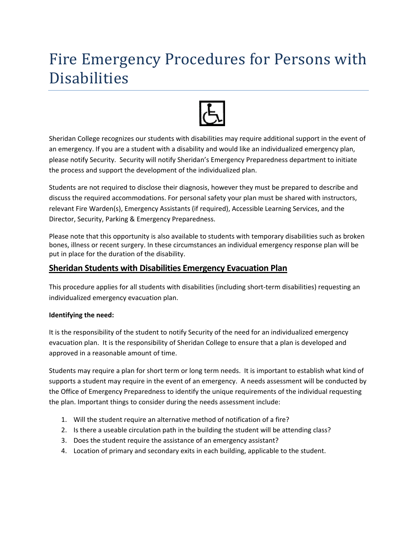# Fire Emergency Procedures for Persons with Disabilities



Sheridan College recognizes our students with disabilities may require additional support in the event of an emergency. If you are a student with a disability and would like an individualized emergency plan, please notify Security. Security will notify Sheridan's Emergency Preparedness department to initiate the process and support the development of the individualized plan.

Students are not required to disclose their diagnosis, however they must be prepared to describe and discuss the required accommodations. For personal safety your plan must be shared with instructors, relevant Fire Warden(s), Emergency Assistants (if required), Accessible Learning Services, and the Director, Security, Parking & Emergency Preparedness.

Please note that this opportunity is also available to students with temporary disabilities such as broken bones, illness or recent surgery. In these circumstances an individual emergency response plan will be put in place for the duration of the disability.

# **Sheridan Students with Disabilities Emergency Evacuation Plan**

This procedure applies for all students with disabilities (including short-term disabilities) requesting an individualized emergency evacuation plan.

# **Identifying the need:**

It is the responsibility of the student to notify Security of the need for an individualized emergency evacuation plan. It is the responsibility of Sheridan College to ensure that a plan is developed and approved in a reasonable amount of time.

Students may require a plan for short term or long term needs. It is important to establish what kind of supports a student may require in the event of an emergency. A needs assessment will be conducted by the Office of Emergency Preparedness to identify the unique requirements of the individual requesting the plan. Important things to consider during the needs assessment include:

- 1. Will the student require an alternative method of notification of a fire?
- 2. Is there a useable circulation path in the building the student will be attending class?
- 3. Does the student require the assistance of an emergency assistant?
- 4. Location of primary and secondary exits in each building, applicable to the student.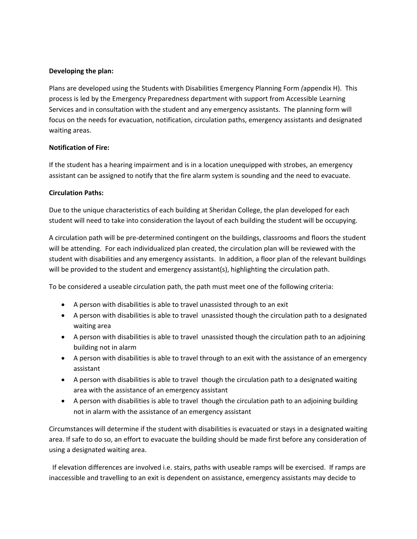#### **Developing the plan:**

Plans are developed using the Students with Disabilities Emergency Planning Form *(*appendix H). This process is led by the Emergency Preparedness department with support from Accessible Learning Services and in consultation with the student and any emergency assistants. The planning form will focus on the needs for evacuation, notification, circulation paths, emergency assistants and designated waiting areas.

#### **Notification of Fire:**

If the student has a hearing impairment and is in a location unequipped with strobes, an emergency assistant can be assigned to notify that the fire alarm system is sounding and the need to evacuate.

#### **Circulation Paths:**

Due to the unique characteristics of each building at Sheridan College, the plan developed for each student will need to take into consideration the layout of each building the student will be occupying.

A circulation path will be pre‐determined contingent on the buildings, classrooms and floors the student will be attending. For each individualized plan created, the circulation plan will be reviewed with the student with disabilities and any emergency assistants. In addition, a floor plan of the relevant buildings will be provided to the student and emergency assistant(s), highlighting the circulation path.

To be considered a useable circulation path, the path must meet one of the following criteria:

- A person with disabilities is able to travel unassisted through to an exit
- A person with disabilities is able to travel unassisted though the circulation path to a designated waiting area
- A person with disabilities is able to travel unassisted though the circulation path to an adjoining building not in alarm
- A person with disabilities is able to travel through to an exit with the assistance of an emergency assistant
- A person with disabilities is able to travel though the circulation path to a designated waiting area with the assistance of an emergency assistant
- A person with disabilities is able to travel though the circulation path to an adjoining building not in alarm with the assistance of an emergency assistant

Circumstances will determine if the student with disabilities is evacuated or stays in a designated waiting area. If safe to do so, an effort to evacuate the building should be made first before any consideration of using a designated waiting area.

 If elevation differences are involved i.e. stairs, paths with useable ramps will be exercised. If ramps are inaccessible and travelling to an exit is dependent on assistance, emergency assistants may decide to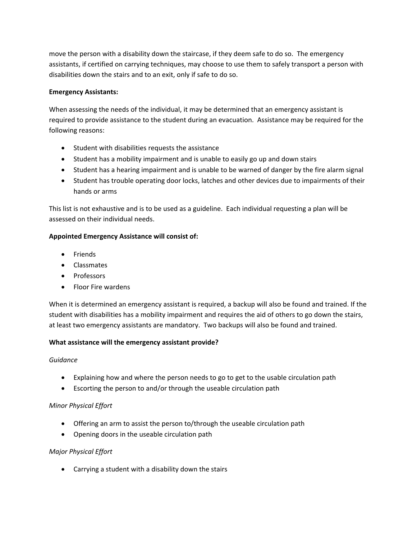move the person with a disability down the staircase, if they deem safe to do so. The emergency assistants, if certified on carrying techniques, may choose to use them to safely transport a person with disabilities down the stairs and to an exit, only if safe to do so.

## **Emergency Assistants:**

When assessing the needs of the individual, it may be determined that an emergency assistant is required to provide assistance to the student during an evacuation. Assistance may be required for the following reasons:

- Student with disabilities requests the assistance
- Student has a mobility impairment and is unable to easily go up and down stairs
- Student has a hearing impairment and is unable to be warned of danger by the fire alarm signal
- Student has trouble operating door locks, latches and other devices due to impairments of their hands or arms

This list is not exhaustive and is to be used as a guideline. Each individual requesting a plan will be assessed on their individual needs.

### **Appointed Emergency Assistance will consist of:**

- Friends
- Classmates
- Professors
- Floor Fire wardens

When it is determined an emergency assistant is required, a backup will also be found and trained. If the student with disabilities has a mobility impairment and requires the aid of others to go down the stairs, at least two emergency assistants are mandatory. Two backups will also be found and trained.

# **What assistance will the emergency assistant provide?**

#### *Guidance*

- Explaining how and where the person needs to go to get to the usable circulation path
- Escorting the person to and/or through the useable circulation path

#### *Minor Physical Effort*

- Offering an arm to assist the person to/through the useable circulation path
- Opening doors in the useable circulation path

# *Major Physical Effort*

Carrying a student with a disability down the stairs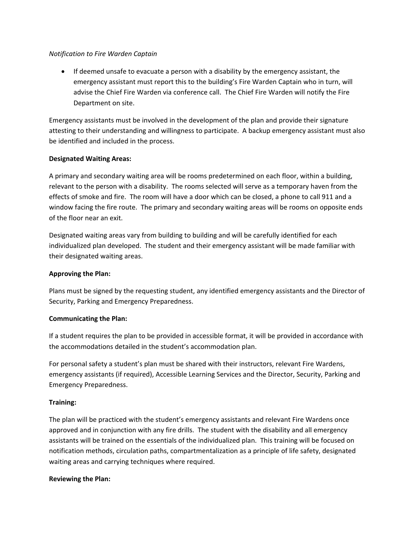#### *Notification to Fire Warden Captain*

 If deemed unsafe to evacuate a person with a disability by the emergency assistant, the emergency assistant must report this to the building's Fire Warden Captain who in turn, will advise the Chief Fire Warden via conference call. The Chief Fire Warden will notify the Fire Department on site.

Emergency assistants must be involved in the development of the plan and provide their signature attesting to their understanding and willingness to participate. A backup emergency assistant must also be identified and included in the process.

#### **Designated Waiting Areas:**

A primary and secondary waiting area will be rooms predetermined on each floor, within a building, relevant to the person with a disability. The rooms selected will serve as a temporary haven from the effects of smoke and fire. The room will have a door which can be closed, a phone to call 911 and a window facing the fire route. The primary and secondary waiting areas will be rooms on opposite ends of the floor near an exit.

Designated waiting areas vary from building to building and will be carefully identified for each individualized plan developed. The student and their emergency assistant will be made familiar with their designated waiting areas.

#### **Approving the Plan:**

Plans must be signed by the requesting student, any identified emergency assistants and the Director of Security, Parking and Emergency Preparedness.

#### **Communicating the Plan:**

If a student requires the plan to be provided in accessible format, it will be provided in accordance with the accommodations detailed in the student's accommodation plan.

For personal safety a student's plan must be shared with their instructors, relevant Fire Wardens, emergency assistants (if required), Accessible Learning Services and the Director, Security, Parking and Emergency Preparedness.

#### **Training:**

The plan will be practiced with the student's emergency assistants and relevant Fire Wardens once approved and in conjunction with any fire drills. The student with the disability and all emergency assistants will be trained on the essentials of the individualized plan. This training will be focused on notification methods, circulation paths, compartmentalization as a principle of life safety, designated waiting areas and carrying techniques where required.

#### **Reviewing the Plan:**